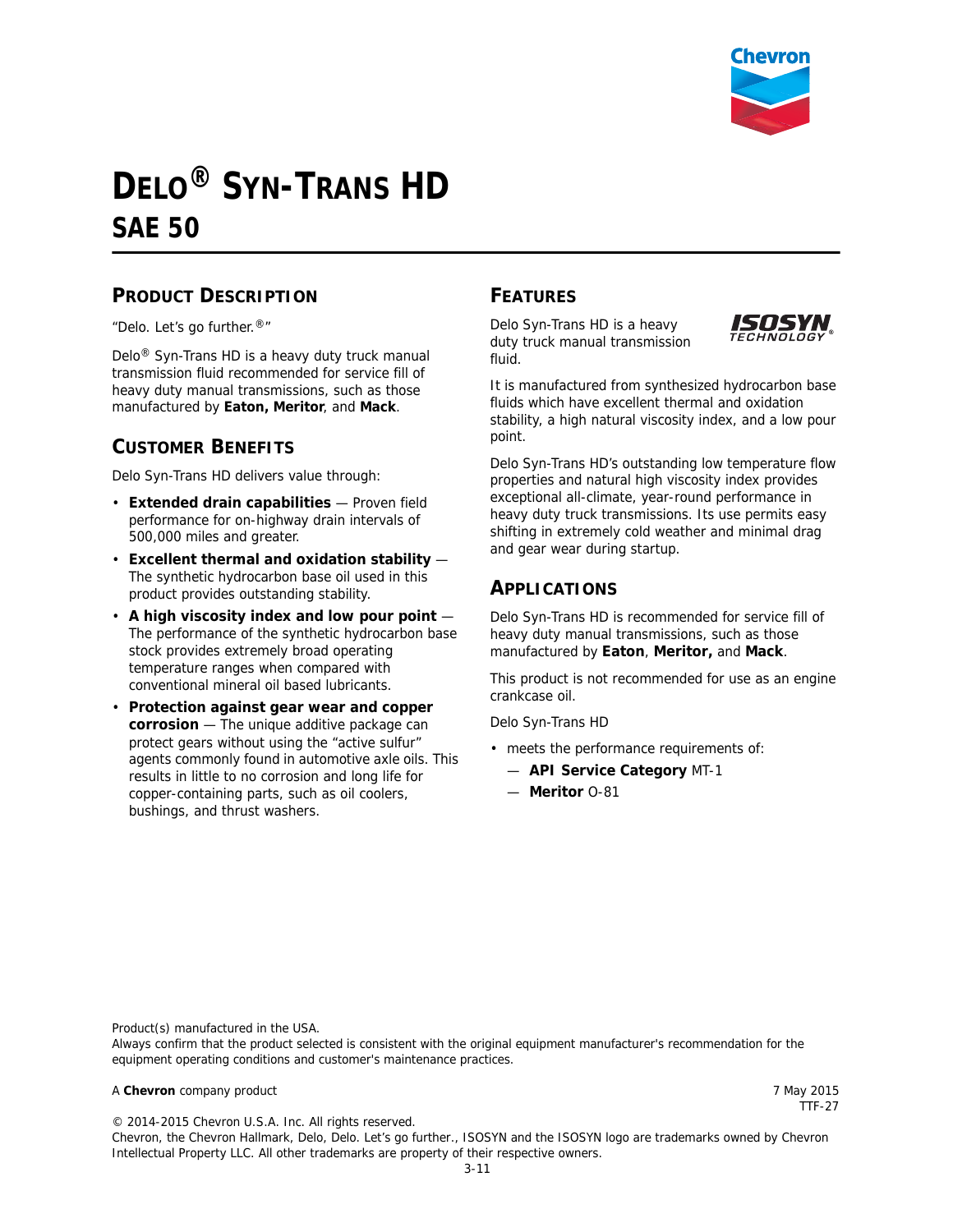

# **DELO® SYN-TRANS HD SAE 50**

#### **PRODUCT DESCRIPTION**

"Delo. Let's go further.®"

Delo® Syn-Trans HD is a heavy duty truck manual transmission fluid recommended for service fill of heavy duty manual transmissions, such as those manufactured by **Eaton, Meritor**, and **Mack**.

### **CUSTOMER BENEFITS**

Delo Syn-Trans HD delivers value through:

- **Extended drain capabilities** Proven field performance for on-highway drain intervals of 500,000 miles and greater.
- **Excellent thermal and oxidation stability** The synthetic hydrocarbon base oil used in this product provides outstanding stability.
- **A high viscosity index and low pour point** The performance of the synthetic hydrocarbon base stock provides extremely broad operating temperature ranges when compared with conventional mineral oil based lubricants.
- **Protection against gear wear and copper corrosion** — The unique additive package can protect gears without using the "active sulfur" agents commonly found in automotive axle oils. This results in little to no corrosion and long life for copper-containing parts, such as oil coolers, bushings, and thrust washers.

#### **FEATURES**

Delo Syn-Trans HD is a heavy duty truck manual transmission fluid.



It is manufactured from synthesized hydrocarbon base fluids which have excellent thermal and oxidation stability, a high natural viscosity index, and a low pour point.

Delo Syn-Trans HD's outstanding low temperature flow properties and natural high viscosity index provides exceptional all-climate, year-round performance in heavy duty truck transmissions. Its use permits easy shifting in extremely cold weather and minimal drag and gear wear during startup.

#### **APPLICATIONS**

Delo Syn-Trans HD is recommended for service fill of heavy duty manual transmissions, such as those manufactured by **Eaton**, **Meritor,** and **Mack**.

This product is not recommended for use as an engine crankcase oil.

Delo Syn-Trans HD

- meets the performance requirements of:
	- **API Service Category** MT-1
	- **Meritor** O-81

Product(s) manufactured in the USA.

Always confirm that the product selected is consistent with the original equipment manufacturer's recommendation for the equipment operating conditions and customer's maintenance practices.

#### A **Chevron** company product 7 May 2015

TTF-27

© 2014-2015 Chevron U.S.A. Inc. All rights reserved.

Chevron, the Chevron Hallmark, Delo, Delo. Let's go further., ISOSYN and the ISOSYN logo are trademarks owned by Chevron Intellectual Property LLC. All other trademarks are property of their respective owners.